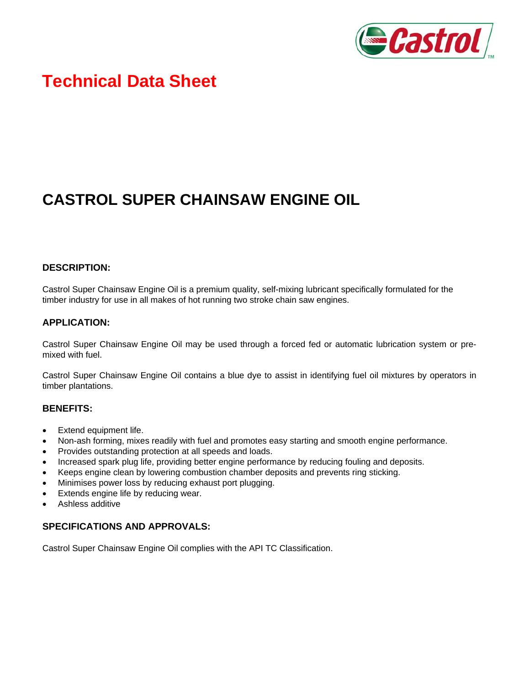

# **Technical Data Sheet**

# **CASTROL SUPER CHAINSAW ENGINE OIL**

## **DESCRIPTION:**

Castrol Super Chainsaw Engine Oil is a premium quality, self-mixing lubricant specifically formulated for the timber industry for use in all makes of hot running two stroke chain saw engines.

### **APPLICATION:**

Castrol Super Chainsaw Engine Oil may be used through a forced fed or automatic lubrication system or premixed with fuel.

Castrol Super Chainsaw Engine Oil contains a blue dye to assist in identifying fuel oil mixtures by operators in timber plantations.

#### **BENEFITS:**

- Extend equipment life.
- Non-ash forming, mixes readily with fuel and promotes easy starting and smooth engine performance.
- Provides outstanding protection at all speeds and loads.
- Increased spark plug life, providing better engine performance by reducing fouling and deposits.
- Keeps engine clean by lowering combustion chamber deposits and prevents ring sticking.
- Minimises power loss by reducing exhaust port plugging.
- Extends engine life by reducing wear.
- Ashless additive

## **SPECIFICATIONS AND APPROVALS:**

Castrol Super Chainsaw Engine Oil complies with the API TC Classification.